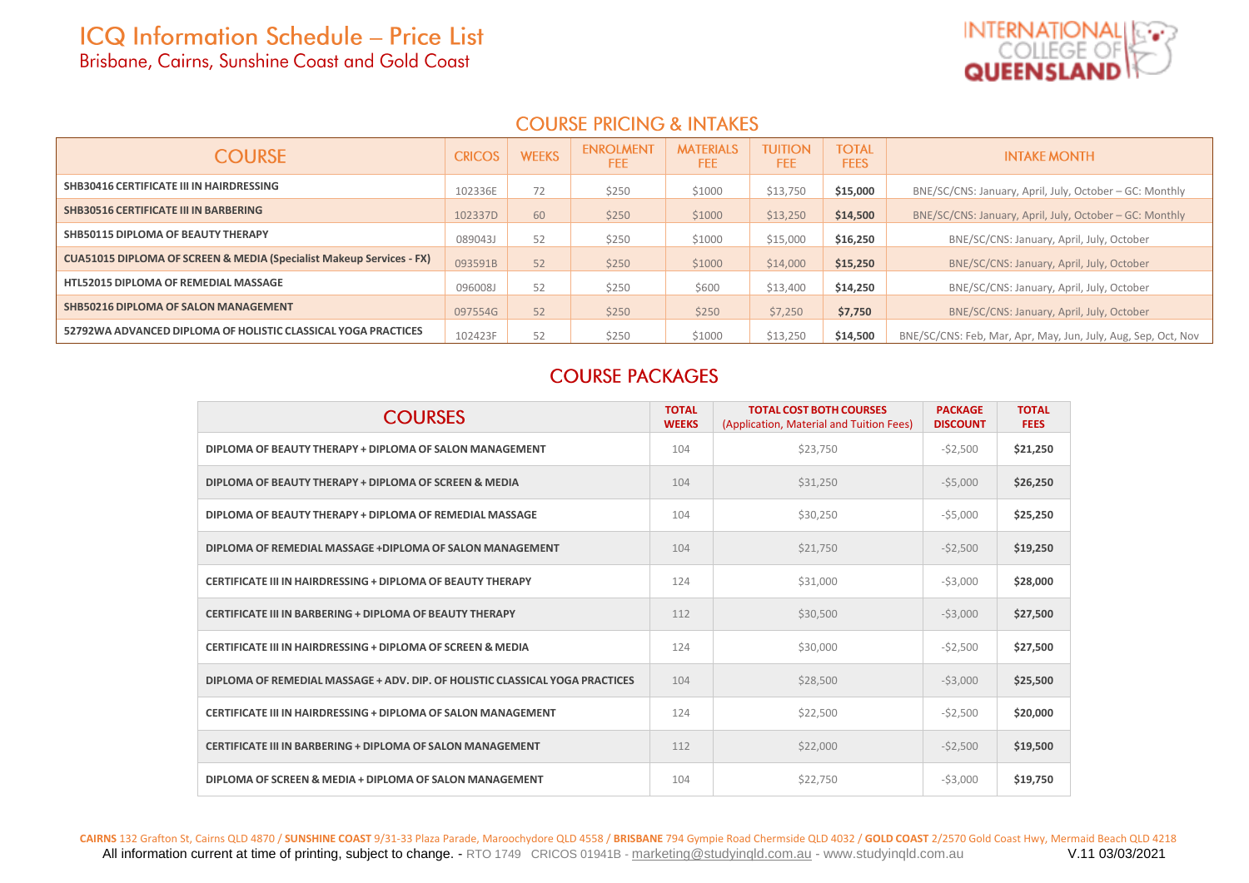

### **COURSE PRICING & INTAKES**

| <b>COURSE</b>                                                                   | <b>CRICOS</b> | <b>WEEKS</b> | <b>ENROLMENT</b><br>FEE | <b>MATERIALS</b><br>FEE. | <b>TUITION</b><br>FEE. | <b>TOTAL</b><br><b>FEES</b> | <b>INTAKE MONTH</b>                                           |  |
|---------------------------------------------------------------------------------|---------------|--------------|-------------------------|--------------------------|------------------------|-----------------------------|---------------------------------------------------------------|--|
| SHB30416 CERTIFICATE III IN HAIRDRESSING                                        | 102336E       | 72           | \$250                   | \$1000                   | \$13,750               | \$15,000                    | BNE/SC/CNS: January, April, July, October – GC: Monthly       |  |
| <b>SHB30516 CERTIFICATE III IN BARBERING</b>                                    | 102337D       | 60           | \$250                   | \$1000                   | \$13,250               | \$14,500                    | BNE/SC/CNS: January, April, July, October – GC: Monthly       |  |
| SHB50115 DIPLOMA OF BEAUTY THERAPY                                              | 089043J       | 52           | \$250                   | \$1000                   | \$15,000               | \$16,250                    | BNE/SC/CNS: January, April, July, October                     |  |
| <b>CUA51015 DIPLOMA OF SCREEN &amp; MEDIA (Specialist Makeup Services - FX)</b> | 093591B       | 52           | \$250                   | \$1000                   | \$14,000               | \$15,250                    | BNE/SC/CNS: January, April, July, October                     |  |
| <b>HTL52015 DIPLOMA OF REMEDIAL MASSAGE</b>                                     | 096008J       | 52           | \$250                   | \$600                    | \$13,400               | \$14,250                    | BNE/SC/CNS: January, April, July, October                     |  |
| SHB50216 DIPLOMA OF SALON MANAGEMENT                                            | 097554G       | 52           | \$250                   | \$250                    | \$7,250                | \$7,750                     | BNE/SC/CNS: January, April, July, October                     |  |
| 52792WA ADVANCED DIPLOMA OF HOLISTIC CLASSICAL YOGA PRACTICES                   | 102423F       | 52           | \$250                   | \$1000                   | \$13,250               | \$14,500                    | BNE/SC/CNS: Feb, Mar, Apr, May, Jun, July, Aug, Sep, Oct, Nov |  |

### **COURSE PACKAGES**

| <b>COURSES</b>                                                               | <b>TOTAL</b><br><b>WEEKS</b> | <b>TOTAL COST BOTH COURSES</b><br>(Application, Material and Tuition Fees) | <b>PACKAGE</b><br><b>DISCOUNT</b> | <b>TOTAL</b><br><b>FEES</b> |
|------------------------------------------------------------------------------|------------------------------|----------------------------------------------------------------------------|-----------------------------------|-----------------------------|
| DIPLOMA OF BEAUTY THERAPY + DIPLOMA OF SALON MANAGEMENT                      | 104                          | \$23,750                                                                   | $-52,500$                         | \$21,250                    |
| DIPLOMA OF BEAUTY THERAPY + DIPLOMA OF SCREEN & MEDIA                        | 104                          | \$31,250                                                                   | $-55,000$                         | \$26,250                    |
| DIPLOMA OF BEAUTY THERAPY + DIPLOMA OF REMEDIAL MASSAGE                      | 104                          | \$30,250                                                                   | $-55,000$                         | \$25,250                    |
| DIPLOMA OF REMEDIAL MASSAGE +DIPLOMA OF SALON MANAGEMENT                     | 104                          | \$21,750                                                                   | $-52,500$                         | \$19,250                    |
| <b>CERTIFICATE III IN HAIRDRESSING + DIPLOMA OF BEAUTY THERAPY</b>           | 124                          | \$31,000                                                                   | $-53,000$                         | \$28,000                    |
| <b>CERTIFICATE III IN BARBERING + DIPLOMA OF BEAUTY THERAPY</b>              | 112                          | \$30,500                                                                   | $-53,000$                         | \$27,500                    |
| <b>CERTIFICATE III IN HAIRDRESSING + DIPLOMA OF SCREEN &amp; MEDIA</b>       | 124                          | \$30,000                                                                   | $-52,500$                         | \$27,500                    |
| DIPLOMA OF REMEDIAL MASSAGE + ADV. DIP. OF HOLISTIC CLASSICAL YOGA PRACTICES | 104                          | \$28,500                                                                   | $-53,000$                         | \$25,500                    |
| <b>CERTIFICATE III IN HAIRDRESSING + DIPLOMA OF SALON MANAGEMENT</b>         | 124                          | \$22,500                                                                   | $-$ \$2,500                       | \$20,000                    |
| <b>CERTIFICATE III IN BARBERING + DIPLOMA OF SALON MANAGEMENT</b>            | 112                          | \$22,000                                                                   | $-52,500$                         | \$19,500                    |
| DIPLOMA OF SCREEN & MEDIA + DIPLOMA OF SALON MANAGEMENT                      | 104                          | \$22.750                                                                   | $-53.000$                         | \$19,750                    |